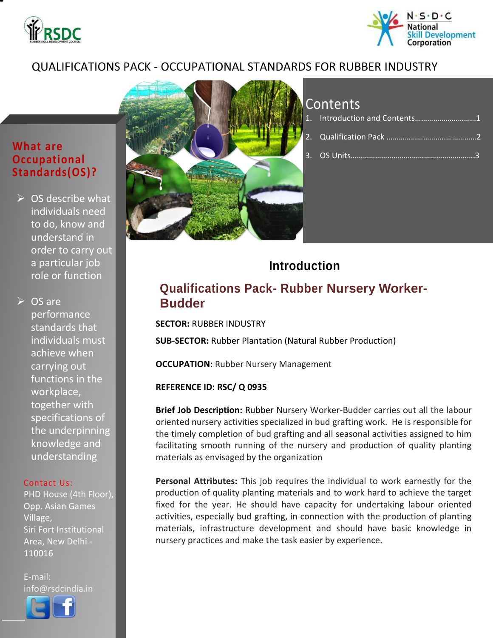



## QUALIFICATIONS PACK - OCCUPATIONAL STANDARDS FOR RUBBER INDUSTRY

## **What are Occupational Standards(OS)?**

 $\triangleright$  OS describe what individuals need to do, know and understand in order to carry out a particular job role or function

 $\triangleright$  OS are performance standards that individuals must achieve when carrying out functions in the workplace, together with specifications of the underpinning knowledge and understanding

#### Contact Us:

PHD House (4th Floor), Opp. Asian Games Village, Siri Fort Institutional Area, New Delhi - 110016

E-mail: info@rsdcindia.in

l



## Contents

| 1. Introduction and Contents1 |  |
|-------------------------------|--|
|                               |  |
|                               |  |

## **Introduction**

## **Qualifications Pack- Rubber Nursery Worker-Budder**

**SECTOR:** RUBBER INDUSTRY

**SUB-SECTOR:** Rubber Plantation (Natural Rubber Production)

**OCCUPATION: Rubber Nursery Management** 

#### **REFERENCE ID: RSC/ Q 0935**

**Brief Job Description:** Rubber Nursery Worker-Budder carries out all the labour oriented nursery activities specialized in bud grafting work. He is responsible for the timely completion of bud grafting and all seasonal activities assigned to him facilitating smooth running of the nursery and production of quality planting materials as envisaged by the organization

**Personal Attributes:** This job requires the individual to work earnestly for the production of quality planting materials and to work hard to achieve the target fixed for the year. He should have capacity for undertaking labour oriented activities, especially bud grafting, in connection with the production of planting materials, infrastructure development and should have basic knowledge in nursery practices and make the task easier by experience.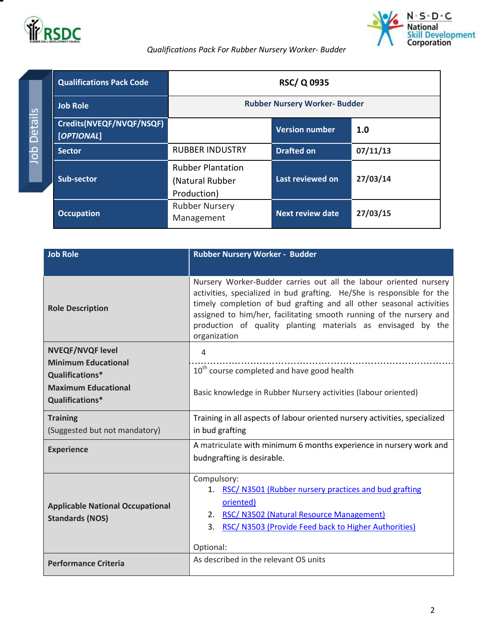



### *Qualifications Pack For Rubber Nursery Worker- Budder*

<span id="page-1-0"></span>

| <b>Qualifications Pack Code</b>        |                                                            | <b>RSC/Q0935</b>        |          |
|----------------------------------------|------------------------------------------------------------|-------------------------|----------|
| <b>Job Role</b>                        | <b>Rubber Nursery Worker- Budder</b>                       |                         |          |
| Credits(NVEQF/NVQF/NSQF)<br>[OPTIONAL] |                                                            | <b>Version number</b>   | 1.0      |
| <b>Sector</b>                          | <b>RUBBER INDUSTRY</b>                                     | <b>Drafted on</b>       | 07/11/13 |
| Sub-sector                             | <b>Rubber Plantation</b><br>(Natural Rubber<br>Production) | Last reviewed on        | 27/03/14 |
| <b>Occupation</b>                      | <b>Rubber Nursery</b><br>Management                        | <b>Next review date</b> | 27/03/15 |

| <b>Job Role</b>                                                                                                           | Rubber Nursery Worker - Budder                                                                                                                                                                                                                                                                                                                                            |
|---------------------------------------------------------------------------------------------------------------------------|---------------------------------------------------------------------------------------------------------------------------------------------------------------------------------------------------------------------------------------------------------------------------------------------------------------------------------------------------------------------------|
| <b>Role Description</b>                                                                                                   | Nursery Worker-Budder carries out all the labour oriented nursery<br>activities, specialized in bud grafting. He/She is responsible for the<br>timely completion of bud grafting and all other seasonal activities<br>assigned to him/her, facilitating smooth running of the nursery and<br>production of quality planting materials as envisaged by the<br>organization |
| <b>NVEQF/NVQF level</b><br><b>Minimum Educational</b><br>Qualifications*<br><b>Maximum Educational</b><br>Qualifications* | 4<br>10 <sup>th</sup> course completed and have good health<br>Basic knowledge in Rubber Nursery activities (labour oriented)                                                                                                                                                                                                                                             |
| <b>Training</b><br>(Suggested but not mandatory)                                                                          | Training in all aspects of labour oriented nursery activities, specialized<br>in bud grafting                                                                                                                                                                                                                                                                             |
| <b>Experience</b>                                                                                                         | A matriculate with minimum 6 months experience in nursery work and<br>budngrafting is desirable.                                                                                                                                                                                                                                                                          |
| <b>Applicable National Occupational</b><br><b>Standards (NOS)</b>                                                         | Compulsory:<br>RSC/ N3501 (Rubber nursery practices and bud grafting<br>1.<br>oriented)<br>2. RSC/ N3502 (Natural Resource Management)<br>RSC/ N3503 (Provide Feed back to Higher Authorities)<br>3.<br>Optional:                                                                                                                                                         |
| <b>Performance Criteria</b>                                                                                               | As described in the relevant OS units                                                                                                                                                                                                                                                                                                                                     |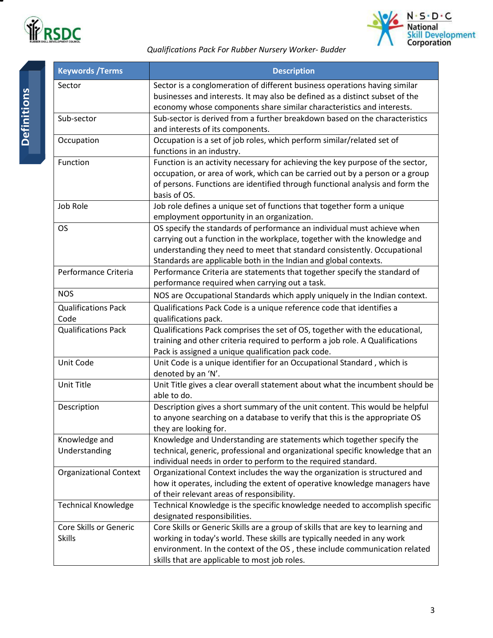



### *Qualifications Pack For Rubber Nursery Worker- Budder*

| <b>Keywords / Terms</b>                 | <b>Description</b>                                                                                                                                                                                                                                                                                   |
|-----------------------------------------|------------------------------------------------------------------------------------------------------------------------------------------------------------------------------------------------------------------------------------------------------------------------------------------------------|
| Sector                                  | Sector is a conglomeration of different business operations having similar<br>businesses and interests. It may also be defined as a distinct subset of the<br>economy whose components share similar characteristics and interests.                                                                  |
| Sub-sector                              | Sub-sector is derived from a further breakdown based on the characteristics<br>and interests of its components.                                                                                                                                                                                      |
| Occupation                              | Occupation is a set of job roles, which perform similar/related set of<br>functions in an industry.                                                                                                                                                                                                  |
| Function                                | Function is an activity necessary for achieving the key purpose of the sector,<br>occupation, or area of work, which can be carried out by a person or a group<br>of persons. Functions are identified through functional analysis and form the<br>basis of OS.                                      |
| Job Role                                | Job role defines a unique set of functions that together form a unique<br>employment opportunity in an organization.                                                                                                                                                                                 |
| <b>OS</b>                               | OS specify the standards of performance an individual must achieve when<br>carrying out a function in the workplace, together with the knowledge and<br>understanding they need to meet that standard consistently. Occupational<br>Standards are applicable both in the Indian and global contexts. |
| Performance Criteria                    | Performance Criteria are statements that together specify the standard of<br>performance required when carrying out a task.                                                                                                                                                                          |
| <b>NOS</b>                              | NOS are Occupational Standards which apply uniquely in the Indian context.                                                                                                                                                                                                                           |
| <b>Qualifications Pack</b><br>Code      | Qualifications Pack Code is a unique reference code that identifies a<br>qualifications pack.                                                                                                                                                                                                        |
| <b>Qualifications Pack</b>              | Qualifications Pack comprises the set of OS, together with the educational,<br>training and other criteria required to perform a job role. A Qualifications<br>Pack is assigned a unique qualification pack code.                                                                                    |
| Unit Code                               | Unit Code is a unique identifier for an Occupational Standard, which is<br>denoted by an 'N'.                                                                                                                                                                                                        |
| Unit Title                              | Unit Title gives a clear overall statement about what the incumbent should be<br>able to do.                                                                                                                                                                                                         |
| Description                             | Description gives a short summary of the unit content. This would be helpful<br>to anyone searching on a database to verify that this is the appropriate OS<br>they are looking for.                                                                                                                 |
| Knowledge and<br>Understanding          | Knowledge and Understanding are statements which together specify the<br>technical, generic, professional and organizational specific knowledge that an<br>individual needs in order to perform to the required standard.                                                                            |
| <b>Organizational Context</b>           | Organizational Context includes the way the organization is structured and<br>how it operates, including the extent of operative knowledge managers have<br>of their relevant areas of responsibility.                                                                                               |
| <b>Technical Knowledge</b>              | Technical Knowledge is the specific knowledge needed to accomplish specific<br>designated responsibilities.                                                                                                                                                                                          |
| Core Skills or Generic<br><b>Skills</b> | Core Skills or Generic Skills are a group of skills that are key to learning and<br>working in today's world. These skills are typically needed in any work<br>environment. In the context of the OS, these include communication related<br>skills that are applicable to most job roles.           |

۳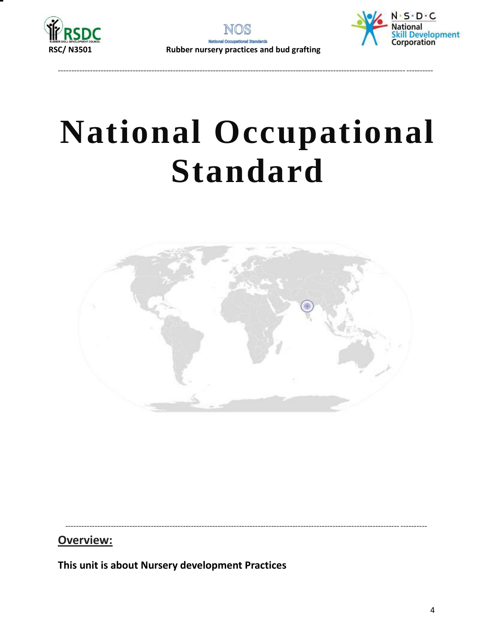



--------------------------------------------------------------------------------------------------------------------------------------------



# **National Occupational Standard**



---------------------------------------------------------------------------------------------------------------------------------------

**Overview:**

<span id="page-3-0"></span>**This unit is about Nursery development Practices**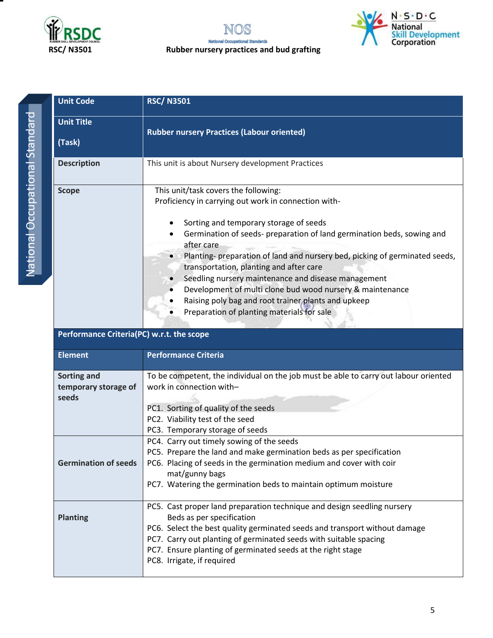





| <b>Unit Code</b>   | <b>RSC/N3501</b>                                                                                                                                                                                                                                                                                                                                                                                                                                                                                                                                                                  |  |  |
|--------------------|-----------------------------------------------------------------------------------------------------------------------------------------------------------------------------------------------------------------------------------------------------------------------------------------------------------------------------------------------------------------------------------------------------------------------------------------------------------------------------------------------------------------------------------------------------------------------------------|--|--|
| <b>Unit Title</b>  | <b>Rubber nursery Practices (Labour oriented)</b>                                                                                                                                                                                                                                                                                                                                                                                                                                                                                                                                 |  |  |
| (Task)             |                                                                                                                                                                                                                                                                                                                                                                                                                                                                                                                                                                                   |  |  |
| <b>Description</b> | This unit is about Nursery development Practices                                                                                                                                                                                                                                                                                                                                                                                                                                                                                                                                  |  |  |
| <b>Scope</b>       | This unit/task covers the following:<br>Proficiency in carrying out work in connection with-<br>Sorting and temporary storage of seeds<br>Germination of seeds- preparation of land germination beds, sowing and<br>after care<br>Planting- preparation of land and nursery bed, picking of germinated seeds,<br>transportation, planting and after care<br>Seedling nursery maintenance and disease management<br>Development of multi clone bud wood nursery & maintenance<br>Raising poly bag and root trainer plants and upkeep<br>Preparation of planting materials for sale |  |  |

### **Performance Criteria(PC) w.r.t. the scope**

| <b>Element</b>              | <b>Performance Criteria</b>                                                          |  |  |  |
|-----------------------------|--------------------------------------------------------------------------------------|--|--|--|
| Sorting and                 | To be competent, the individual on the job must be able to carry out labour oriented |  |  |  |
| temporary storage of        | work in connection with-                                                             |  |  |  |
| seeds                       |                                                                                      |  |  |  |
|                             | PC1. Sorting of quality of the seeds                                                 |  |  |  |
|                             | PC2. Viability test of the seed                                                      |  |  |  |
|                             | PC3. Temporary storage of seeds                                                      |  |  |  |
|                             | PC4. Carry out timely sowing of the seeds                                            |  |  |  |
|                             | PC5. Prepare the land and make germination beds as per specification                 |  |  |  |
| <b>Germination of seeds</b> | PC6. Placing of seeds in the germination medium and cover with coir                  |  |  |  |
|                             | mat/gunny bags                                                                       |  |  |  |
|                             | PC7. Watering the germination beds to maintain optimum moisture                      |  |  |  |
|                             |                                                                                      |  |  |  |
|                             | PC5. Cast proper land preparation technique and design seedling nursery              |  |  |  |
| <b>Planting</b>             | Beds as per specification                                                            |  |  |  |
|                             | PC6. Select the best quality germinated seeds and transport without damage           |  |  |  |
|                             | PC7. Carry out planting of germinated seeds with suitable spacing                    |  |  |  |
|                             | PC7. Ensure planting of germinated seeds at the right stage                          |  |  |  |
|                             | PC8. Irrigate, if required                                                           |  |  |  |
|                             |                                                                                      |  |  |  |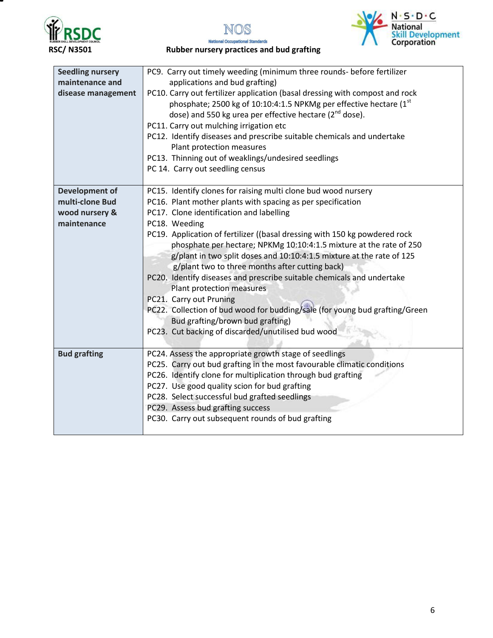





**National Occupational Standards RSC/ N3501 Rubber nursery practices and bud grafting**

| PC9. Carry out timely weeding (minimum three rounds- before fertilizer<br><b>Seedling nursery</b><br>maintenance and<br>applications and bud grafting)<br>PC10. Carry out fertilizer application (basal dressing with compost and rock<br>disease management<br>phosphate; 2500 kg of 10:10:4:1.5 NPKMg per effective hectare (1st<br>dose) and 550 kg urea per effective hectare ( $2^{nd}$ dose).<br>PC11. Carry out mulching irrigation etc |                                                                                                                           |  |
|------------------------------------------------------------------------------------------------------------------------------------------------------------------------------------------------------------------------------------------------------------------------------------------------------------------------------------------------------------------------------------------------------------------------------------------------|---------------------------------------------------------------------------------------------------------------------------|--|
|                                                                                                                                                                                                                                                                                                                                                                                                                                                | PC12. Identify diseases and prescribe suitable chemicals and undertake                                                    |  |
|                                                                                                                                                                                                                                                                                                                                                                                                                                                | Plant protection measures                                                                                                 |  |
|                                                                                                                                                                                                                                                                                                                                                                                                                                                | PC13. Thinning out of weaklings/undesired seedlings                                                                       |  |
|                                                                                                                                                                                                                                                                                                                                                                                                                                                | PC 14. Carry out seedling census                                                                                          |  |
| <b>Development of</b>                                                                                                                                                                                                                                                                                                                                                                                                                          | PC15. Identify clones for raising multi clone bud wood nursery                                                            |  |
| multi-clone Bud                                                                                                                                                                                                                                                                                                                                                                                                                                | PC16. Plant mother plants with spacing as per specification                                                               |  |
| wood nursery &                                                                                                                                                                                                                                                                                                                                                                                                                                 | PC17. Clone identification and labelling                                                                                  |  |
| maintenance<br>PC18. Weeding                                                                                                                                                                                                                                                                                                                                                                                                                   |                                                                                                                           |  |
|                                                                                                                                                                                                                                                                                                                                                                                                                                                | PC19. Application of fertilizer ((basal dressing with 150 kg powdered rock                                                |  |
|                                                                                                                                                                                                                                                                                                                                                                                                                                                | phosphate per hectare; NPKMg 10:10:4:1.5 mixture at the rate of 250                                                       |  |
|                                                                                                                                                                                                                                                                                                                                                                                                                                                | g/plant in two split doses and 10:10:4:1.5 mixture at the rate of 125                                                     |  |
|                                                                                                                                                                                                                                                                                                                                                                                                                                                | g/plant two to three months after cutting back)<br>PC20. Identify diseases and prescribe suitable chemicals and undertake |  |
|                                                                                                                                                                                                                                                                                                                                                                                                                                                | Plant protection measures                                                                                                 |  |
|                                                                                                                                                                                                                                                                                                                                                                                                                                                | PC21. Carry out Pruning                                                                                                   |  |
|                                                                                                                                                                                                                                                                                                                                                                                                                                                | PC22. Collection of bud wood for budding/sale (for young bud grafting/Green                                               |  |
|                                                                                                                                                                                                                                                                                                                                                                                                                                                | Bud grafting/brown bud grafting)                                                                                          |  |
|                                                                                                                                                                                                                                                                                                                                                                                                                                                | PC23. Cut backing of discarded/unutilised bud wood                                                                        |  |
| <b>Bud grafting</b>                                                                                                                                                                                                                                                                                                                                                                                                                            | PC24. Assess the appropriate growth stage of seedlings                                                                    |  |
|                                                                                                                                                                                                                                                                                                                                                                                                                                                | PC25. Carry out bud grafting in the most favourable climatic conditions                                                   |  |
|                                                                                                                                                                                                                                                                                                                                                                                                                                                | PC26. Identify clone for multiplication through bud grafting                                                              |  |
|                                                                                                                                                                                                                                                                                                                                                                                                                                                | PC27. Use good quality scion for bud grafting                                                                             |  |
|                                                                                                                                                                                                                                                                                                                                                                                                                                                | PC28. Select successful bud grafted seedlings                                                                             |  |
|                                                                                                                                                                                                                                                                                                                                                                                                                                                | PC29. Assess bud grafting success                                                                                         |  |
|                                                                                                                                                                                                                                                                                                                                                                                                                                                | PC30. Carry out subsequent rounds of bud grafting                                                                         |  |
|                                                                                                                                                                                                                                                                                                                                                                                                                                                |                                                                                                                           |  |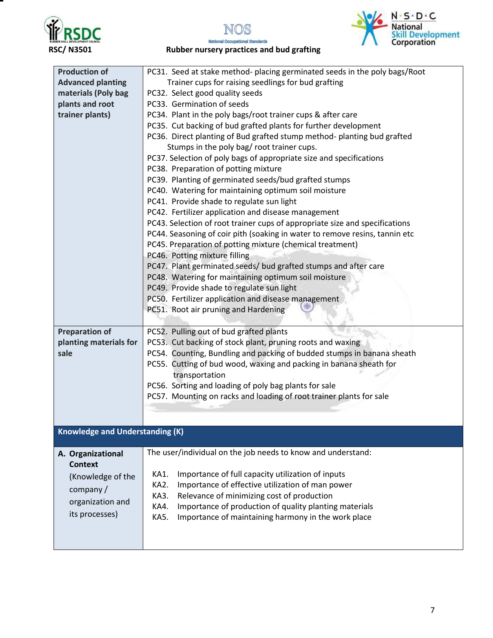





**National Occupational Standards RSC/ N3501 Rubber nursery practices and bud grafting**

| <b>Production of</b>                   | PC31. Seed at stake method- placing germinated seeds in the poly bags/Root  |
|----------------------------------------|-----------------------------------------------------------------------------|
| <b>Advanced planting</b>               | Trainer cups for raising seedlings for bud grafting                         |
| materials (Poly bag                    | PC32. Select good quality seeds                                             |
| plants and root                        | PC33. Germination of seeds                                                  |
| trainer plants)                        | PC34. Plant in the poly bags/root trainer cups & after care                 |
|                                        | PC35. Cut backing of bud grafted plants for further development             |
|                                        | PC36. Direct planting of Bud grafted stump method- planting bud grafted     |
|                                        | Stumps in the poly bag/ root trainer cups.                                  |
|                                        | PC37. Selection of poly bags of appropriate size and specifications         |
|                                        | PC38. Preparation of potting mixture                                        |
|                                        | PC39. Planting of germinated seeds/bud grafted stumps                       |
|                                        | PC40. Watering for maintaining optimum soil moisture                        |
|                                        | PC41. Provide shade to regulate sun light                                   |
|                                        | PC42. Fertilizer application and disease management                         |
|                                        | PC43. Selection of root trainer cups of appropriate size and specifications |
|                                        | PC44. Seasoning of coir pith (soaking in water to remove resins, tannin etc |
|                                        | PC45. Preparation of potting mixture (chemical treatment)                   |
|                                        | PC46. Potting mixture filling                                               |
|                                        | PC47. Plant germinated seeds/ bud grafted stumps and after care             |
|                                        | PC48. Watering for maintaining optimum soil moisture                        |
|                                        | PC49. Provide shade to regulate sun light                                   |
|                                        | PC50. Fertilizer application and disease management                         |
|                                        | PC51. Root air pruning and Hardening                                        |
|                                        |                                                                             |
| <b>Preparation of</b>                  | PC52. Pulling out of bud grafted plants                                     |
| planting materials for                 | PC53. Cut backing of stock plant, pruning roots and waxing                  |
| sale                                   | PC54. Counting, Bundling and packing of budded stumps in banana sheath      |
|                                        | PC55. Cutting of bud wood, waxing and packing in banana sheath for          |
|                                        | transportation                                                              |
|                                        | PC56. Sorting and loading of poly bag plants for sale                       |
|                                        | PC57. Mounting on racks and loading of root trainer plants for sale         |
|                                        |                                                                             |
|                                        |                                                                             |
| <b>Knowledge and Understanding (K)</b> |                                                                             |
|                                        |                                                                             |
| A. Organizational                      | The user/individual on the job needs to know and understand:                |
| <b>Context</b>                         |                                                                             |
|                                        | Importance of full capacity utilization of inputs<br>KA1.                   |
| (Knowledge of the                      | Importance of effective utilization of man power<br>KA2.                    |
| company/                               | Relevance of minimizing cost of production<br>KA3.                          |
| organization and                       | Importance of production of quality planting materials<br>KA4.              |
| its processes)                         | Importance of maintaining harmony in the work place<br>KA5.                 |
|                                        |                                                                             |
|                                        |                                                                             |
|                                        |                                                                             |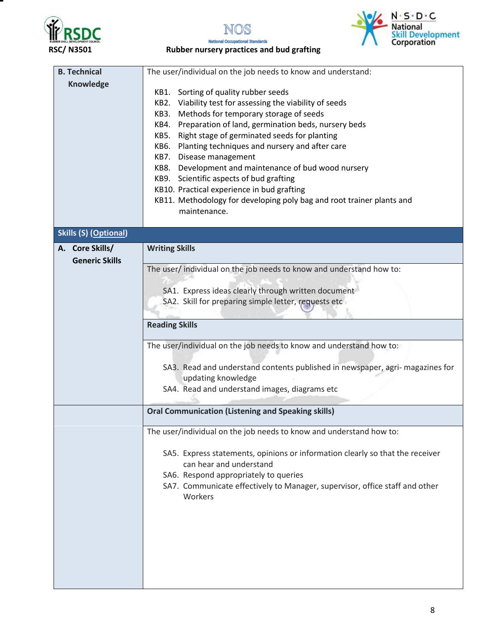





**National Occupational Standards RSC/ N3501 Rubber nursery practices and bud grafting**

| <b>B. Technical</b>          | The user/individual on the job needs to know and understand:                                       |  |  |
|------------------------------|----------------------------------------------------------------------------------------------------|--|--|
| <b>Knowledge</b>             |                                                                                                    |  |  |
|                              | Sorting of quality rubber seeds<br>KB1.                                                            |  |  |
|                              | Viability test for assessing the viability of seeds<br>KB2.                                        |  |  |
|                              | Methods for temporary storage of seeds<br>KB3.                                                     |  |  |
|                              | Preparation of land, germination beds, nursery beds<br>KB4.                                        |  |  |
|                              | Right stage of germinated seeds for planting<br>KB5.                                               |  |  |
|                              | Planting techniques and nursery and after care<br>KB6.                                             |  |  |
|                              | KB7. Disease management                                                                            |  |  |
|                              | KB8. Development and maintenance of bud wood nursery                                               |  |  |
|                              | KB9. Scientific aspects of bud grafting                                                            |  |  |
|                              | KB10. Practical experience in bud grafting                                                         |  |  |
|                              | KB11. Methodology for developing poly bag and root trainer plants and                              |  |  |
|                              | maintenance.                                                                                       |  |  |
|                              |                                                                                                    |  |  |
| <b>Skills (S) (Optional)</b> |                                                                                                    |  |  |
| A. Core Skills/              | <b>Writing Skills</b>                                                                              |  |  |
| <b>Generic Skills</b>        |                                                                                                    |  |  |
|                              | The user/individual on the job needs to know and understand how to:                                |  |  |
|                              |                                                                                                    |  |  |
|                              | SA1. Express ideas clearly through written document                                                |  |  |
|                              | SA2. Skill for preparing simple letter, requests etc                                               |  |  |
|                              |                                                                                                    |  |  |
|                              | <b>Reading Skills</b>                                                                              |  |  |
|                              | The user/individual on the job needs to know and understand how to:                                |  |  |
|                              |                                                                                                    |  |  |
|                              | SA3. Read and understand contents published in newspaper, agri-magazines for<br>updating knowledge |  |  |
|                              | SA4. Read and understand images, diagrams etc                                                      |  |  |
|                              |                                                                                                    |  |  |
|                              | <b>Oral Communication (Listening and Speaking skills)</b>                                          |  |  |
|                              |                                                                                                    |  |  |
|                              | The user/individual on the job needs to know and understand how to:                                |  |  |
|                              | SA5. Express statements, opinions or information clearly so that the receiver                      |  |  |
|                              | can hear and understand                                                                            |  |  |
|                              | SA6. Respond appropriately to queries                                                              |  |  |
|                              | SA7. Communicate effectively to Manager, supervisor, office staff and other                        |  |  |
|                              | Workers                                                                                            |  |  |
|                              |                                                                                                    |  |  |
|                              |                                                                                                    |  |  |
|                              |                                                                                                    |  |  |
|                              |                                                                                                    |  |  |
|                              |                                                                                                    |  |  |
|                              |                                                                                                    |  |  |
|                              |                                                                                                    |  |  |
|                              |                                                                                                    |  |  |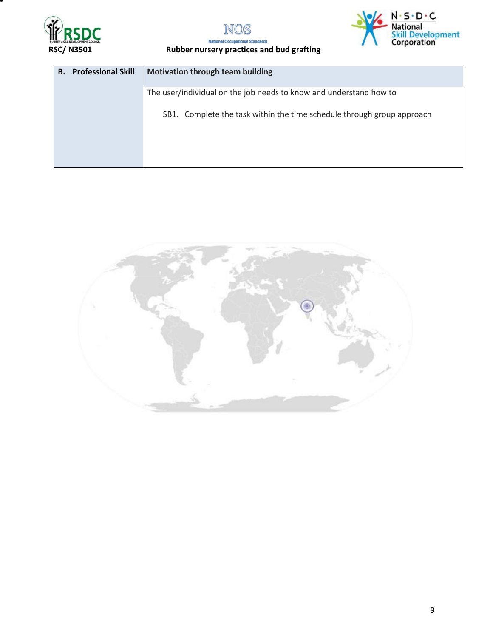





### RSC/ N3501 Rubber nursery practices and bud grafting

| <b>Professional Skill</b><br><b>Motivation through team building</b><br>В. |  |                                                                        |
|----------------------------------------------------------------------------|--|------------------------------------------------------------------------|
|                                                                            |  | The user/individual on the job needs to know and understand how to     |
|                                                                            |  | SB1. Complete the task within the time schedule through group approach |
|                                                                            |  |                                                                        |
|                                                                            |  |                                                                        |

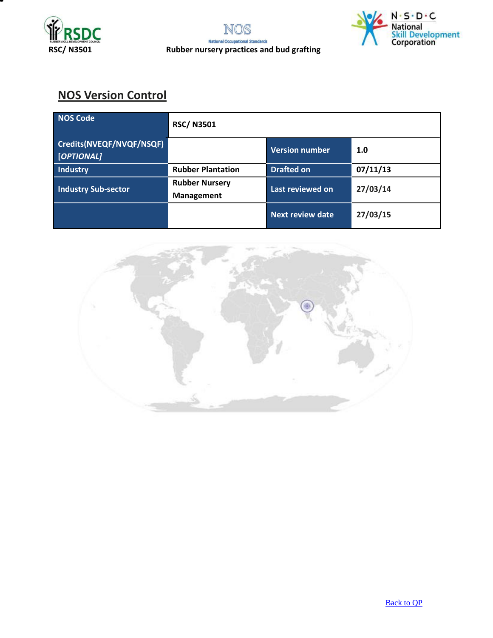



# **NOS Version Control**

| NOS Code                               | <b>RSC/N3501</b>                    |                         |          |
|----------------------------------------|-------------------------------------|-------------------------|----------|
| Credits(NVEQF/NVQF/NSQF)<br>[OPTIONAL] |                                     | <b>Version number</b>   | 1.0      |
| Industry                               | <b>Rubber Plantation</b>            | <b>Drafted on</b>       | 07/11/13 |
| <b>Industry Sub-sector</b>             | <b>Rubber Nursery</b><br>Management | Last reviewed on        | 27/03/14 |
|                                        |                                     | <b>Next review date</b> | 27/03/15 |

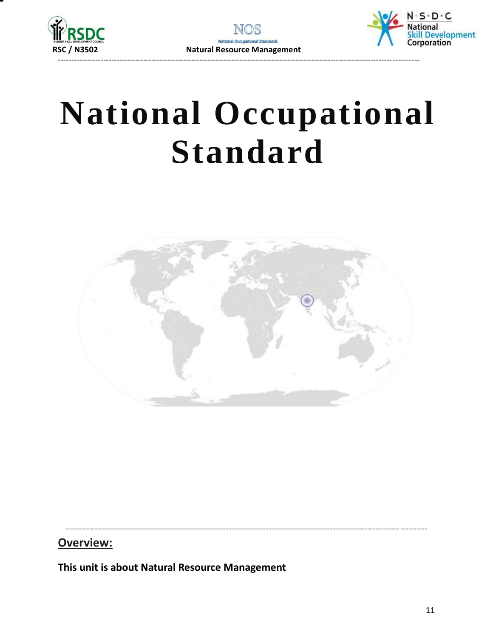



# **National Occupational Standard**



## Overview:

<span id="page-10-0"></span>This unit is about Natural Resource Management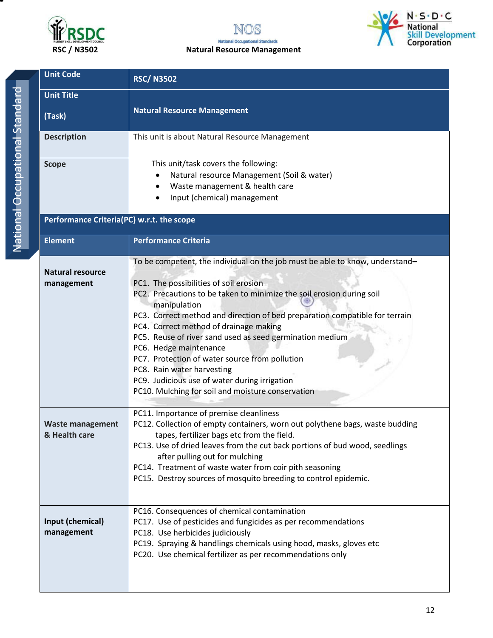





| <b>Unit Code</b>                          | <b>RSC/N3502</b>                                                                                                                                                                                                                                                                                                                                                                                                                                                                                                                                                                                                     |
|-------------------------------------------|----------------------------------------------------------------------------------------------------------------------------------------------------------------------------------------------------------------------------------------------------------------------------------------------------------------------------------------------------------------------------------------------------------------------------------------------------------------------------------------------------------------------------------------------------------------------------------------------------------------------|
| <b>Unit Title</b><br>(Task)               | <b>Natural Resource Management</b>                                                                                                                                                                                                                                                                                                                                                                                                                                                                                                                                                                                   |
| <b>Description</b>                        | This unit is about Natural Resource Management                                                                                                                                                                                                                                                                                                                                                                                                                                                                                                                                                                       |
| <b>Scope</b>                              | This unit/task covers the following:<br>Natural resource Management (Soil & water)<br>Waste management & health care<br>Input (chemical) management                                                                                                                                                                                                                                                                                                                                                                                                                                                                  |
| Performance Criteria(PC) w.r.t. the scope |                                                                                                                                                                                                                                                                                                                                                                                                                                                                                                                                                                                                                      |
| <b>Element</b>                            | <b>Performance Criteria</b>                                                                                                                                                                                                                                                                                                                                                                                                                                                                                                                                                                                          |
| <b>Natural resource</b><br>management     | To be competent, the individual on the job must be able to know, understand-<br>PC1. The possibilities of soil erosion<br>PC2. Precautions to be taken to minimize the soil erosion during soil<br>manipulation<br>PC3. Correct method and direction of bed preparation compatible for terrain<br>PC4. Correct method of drainage making<br>PC5. Reuse of river sand used as seed germination medium<br>PC6. Hedge maintenance<br>PC7. Protection of water source from pollution<br>PC8. Rain water harvesting<br>PC9. Judicious use of water during irrigation<br>PC10. Mulching for soil and moisture conservation |
| <b>Waste management</b><br>& Health care  | PC11. Importance of premise cleanliness<br>PC12. Collection of empty containers, worn out polythene bags, waste budding<br>tapes, fertilizer bags etc from the field.<br>PC13. Use of dried leaves from the cut back portions of bud wood, seedlings<br>after pulling out for mulching<br>PC14. Treatment of waste water from coir pith seasoning<br>PC15. Destroy sources of mosquito breeding to control epidemic.                                                                                                                                                                                                 |
| Input (chemical)<br>management            | PC16. Consequences of chemical contamination<br>PC17. Use of pesticides and fungicides as per recommendations<br>PC18. Use herbicides judiciously<br>PC19. Spraying & handlings chemicals using hood, masks, gloves etc<br>PC20. Use chemical fertilizer as per recommendations only                                                                                                                                                                                                                                                                                                                                 |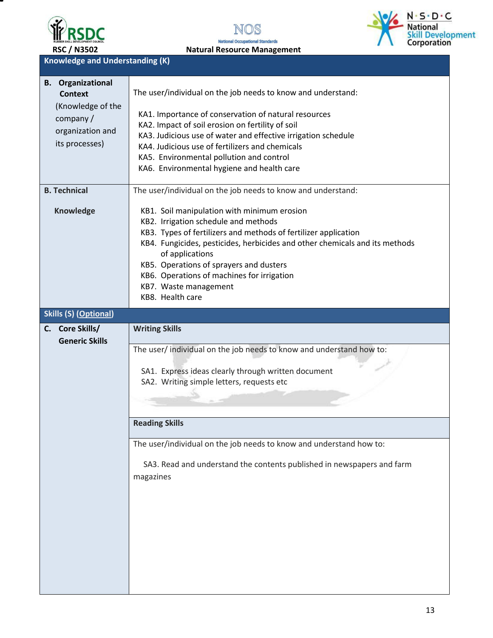

т





**Knowledge and Understanding (K)** 

| <b>B.</b> Organizational<br><b>Context</b><br>(Knowledge of the<br>company/<br>organization and<br>its processes) | The user/individual on the job needs to know and understand:<br>KA1. Importance of conservation of natural resources<br>KA2. Impact of soil erosion on fertility of soil<br>KA3. Judicious use of water and effective irrigation schedule<br>KA4. Judicious use of fertilizers and chemicals<br>KA5. Environmental pollution and control<br>KA6. Environmental hygiene and health care         |
|-------------------------------------------------------------------------------------------------------------------|------------------------------------------------------------------------------------------------------------------------------------------------------------------------------------------------------------------------------------------------------------------------------------------------------------------------------------------------------------------------------------------------|
| <b>B. Technical</b>                                                                                               | The user/individual on the job needs to know and understand:                                                                                                                                                                                                                                                                                                                                   |
| Knowledge                                                                                                         | KB1. Soil manipulation with minimum erosion<br>KB2. Irrigation schedule and methods<br>KB3. Types of fertilizers and methods of fertilizer application<br>KB4. Fungicides, pesticides, herbicides and other chemicals and its methods<br>of applications<br>KB5. Operations of sprayers and dusters<br>KB6. Operations of machines for irrigation<br>KB7. Waste management<br>KB8. Health care |
| <b>Skills (S) (Optional)</b>                                                                                      |                                                                                                                                                                                                                                                                                                                                                                                                |
| C. Core Skills/<br><b>Generic Skills</b>                                                                          | <b>Writing Skills</b><br>The user/ individual on the job needs to know and understand how to:<br>SA1. Express ideas clearly through written document<br>SA2. Writing simple letters, requests etc<br><b>Reading Skills</b><br>The user/individual on the job needs to know and understand how to:<br>SA3. Read and understand the contents published in newspapers and farm<br>magazines       |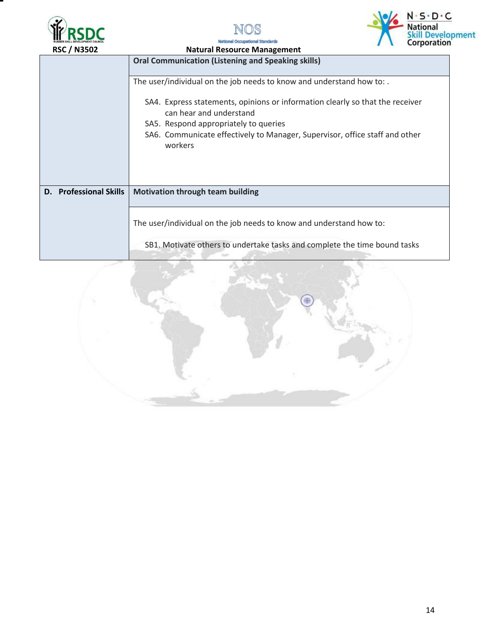



**National Occupational Standards** 



| <b>Natural Resource Management</b>                                                                                                 |  |  |
|------------------------------------------------------------------------------------------------------------------------------------|--|--|
| <b>Oral Communication (Listening and Speaking skills)</b><br>The user/individual on the job needs to know and understand how to: . |  |  |
|                                                                                                                                    |  |  |
| <b>Motivation through team building</b>                                                                                            |  |  |
| The user/individual on the job needs to know and understand how to:                                                                |  |  |
|                                                                                                                                    |  |  |

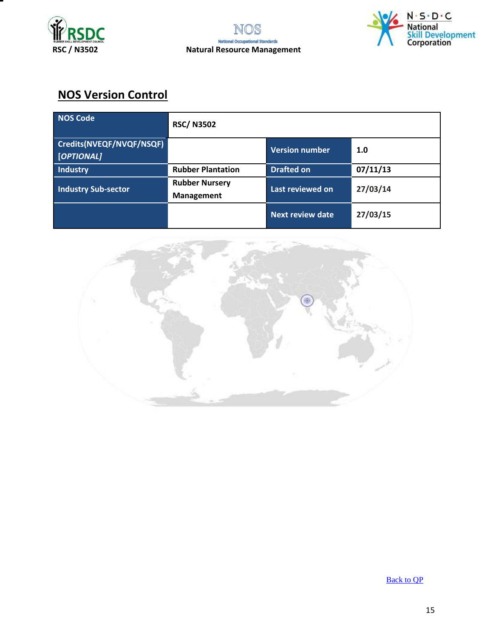





# **NOS Version Control**

| NOS Code                               | <b>RSC/N3502</b>                    |                         |          |
|----------------------------------------|-------------------------------------|-------------------------|----------|
| Credits(NVEQF/NVQF/NSQF)<br>[OPTIONAL] |                                     | <b>Version number</b>   | 1.0      |
| Industry                               | <b>Rubber Plantation</b>            | <b>Drafted on</b>       | 07/11/13 |
| <b>Industry Sub-sector</b>             | <b>Rubber Nursery</b><br>Management | Last reviewed on        | 27/03/14 |
|                                        |                                     | <b>Next review date</b> | 27/03/15 |



[Back to QP](#page-1-0)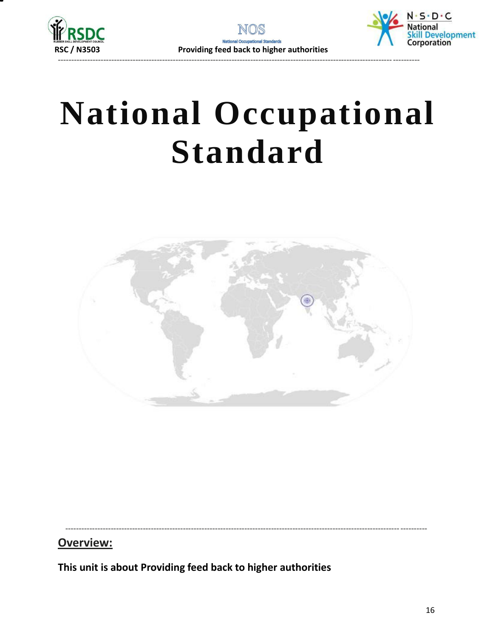



**National Occupational Standard**



---------------------------------------------------------------------------------------------------------------------------------------

## **Overview:**

<span id="page-15-0"></span>**This unit is about Providing feed back to higher authorities**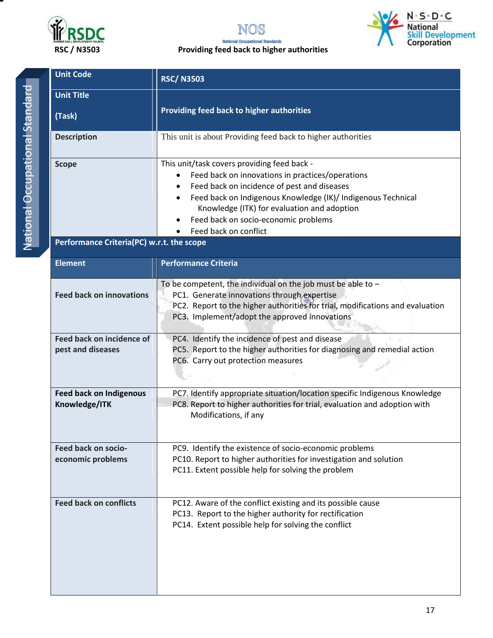





| <b>Unit Code</b>                                | <b>RSC/N3503</b>                                                                                                                                                                                                                                                                                                               |  |  |  |
|-------------------------------------------------|--------------------------------------------------------------------------------------------------------------------------------------------------------------------------------------------------------------------------------------------------------------------------------------------------------------------------------|--|--|--|
| <b>Unit Title</b><br>(Task)                     | Providing feed back to higher authorities                                                                                                                                                                                                                                                                                      |  |  |  |
| <b>Description</b>                              | This unit is about Providing feed back to higher authorities                                                                                                                                                                                                                                                                   |  |  |  |
| <b>Scope</b>                                    | This unit/task covers providing feed back -<br>Feed back on innovations in practices/operations<br>Feed back on incidence of pest and diseases<br>Feed back on Indigenous Knowledge (IK)/ Indigenous Technical<br>Knowledge (ITK) for evaluation and adoption<br>Feed back on socio-economic problems<br>Feed back on conflict |  |  |  |
| Performance Criteria(PC) w.r.t. the scope       |                                                                                                                                                                                                                                                                                                                                |  |  |  |
| <b>Element</b>                                  | <b>Performance Criteria</b>                                                                                                                                                                                                                                                                                                    |  |  |  |
| <b>Feed back on innovations</b>                 | To be competent, the individual on the job must be able to $-$<br>PC1. Generate innovations through expertise<br>PC2. Report to the higher authorities for trial, modifications and evaluation<br>PC3. Implement/adopt the approved innovations                                                                                |  |  |  |
| Feed back on incidence of<br>pest and diseases  | PC4. Identify the incidence of pest and disease<br>PC5. Report to the higher authorities for diagnosing and remedial action<br>PC6. Carry out protection measures                                                                                                                                                              |  |  |  |
| <b>Feed back on Indigenous</b><br>Knowledge/ITK | PC7. Identify appropriate situation/location specific Indigenous Knowledge<br>PC8. Report to higher authorities for trial, evaluation and adoption with<br>Modifications, if any                                                                                                                                               |  |  |  |
| Feed back on socio-<br>economic problems        | PC9. Identify the existence of socio-economic problems<br>PC10. Report to higher authorities for investigation and solution<br>PC11. Extent possible help for solving the problem                                                                                                                                              |  |  |  |
| <b>Feed back on conflicts</b>                   | PC12. Aware of the conflict existing and its possible cause<br>PC13. Report to the higher authority for rectification<br>PC14. Extent possible help for solving the conflict                                                                                                                                                   |  |  |  |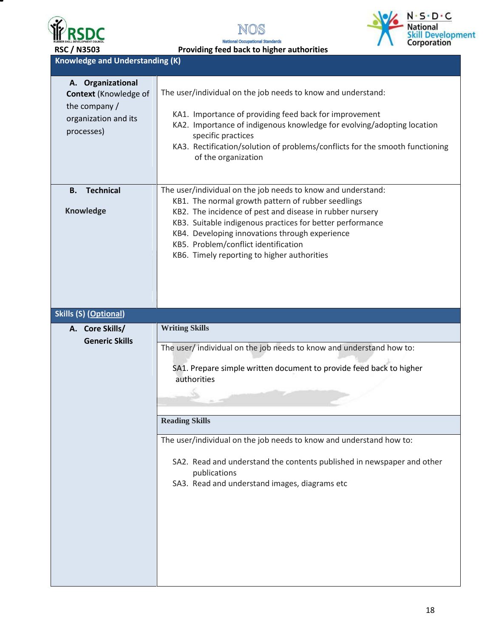

Т





 **RSC / N3503 Providing feed back to higher authorities**

## **Knowledge and Understanding (K)**

| A. Organizational<br><b>Context (Knowledge of</b><br>the company /<br>organization and its<br>processes) | The user/individual on the job needs to know and understand:<br>KA1. Importance of providing feed back for improvement<br>KA2. Importance of indigenous knowledge for evolving/adopting location<br>specific practices<br>KA3. Rectification/solution of problems/conflicts for the smooth functioning<br>of the organization                                                        |
|----------------------------------------------------------------------------------------------------------|--------------------------------------------------------------------------------------------------------------------------------------------------------------------------------------------------------------------------------------------------------------------------------------------------------------------------------------------------------------------------------------|
| <b>Technical</b><br>В.<br><b>Knowledge</b>                                                               | The user/individual on the job needs to know and understand:<br>KB1. The normal growth pattern of rubber seedlings<br>KB2. The incidence of pest and disease in rubber nursery<br>KB3. Suitable indigenous practices for better performance<br>KB4. Developing innovations through experience<br>KB5. Problem/conflict identification<br>KB6. Timely reporting to higher authorities |
| <b>Skills (S) (Optional)</b>                                                                             |                                                                                                                                                                                                                                                                                                                                                                                      |
| A. Core Skills/<br><b>Generic Skills</b>                                                                 | <b>Writing Skills</b><br>The user/ individual on the job needs to know and understand how to:<br>SA1. Prepare simple written document to provide feed back to higher<br>authorities                                                                                                                                                                                                  |
|                                                                                                          | <b>Reading Skills</b>                                                                                                                                                                                                                                                                                                                                                                |
|                                                                                                          | The user/individual on the job needs to know and understand how to:<br>SA2. Read and understand the contents published in newspaper and other<br>publications<br>SA3. Read and understand images, diagrams etc                                                                                                                                                                       |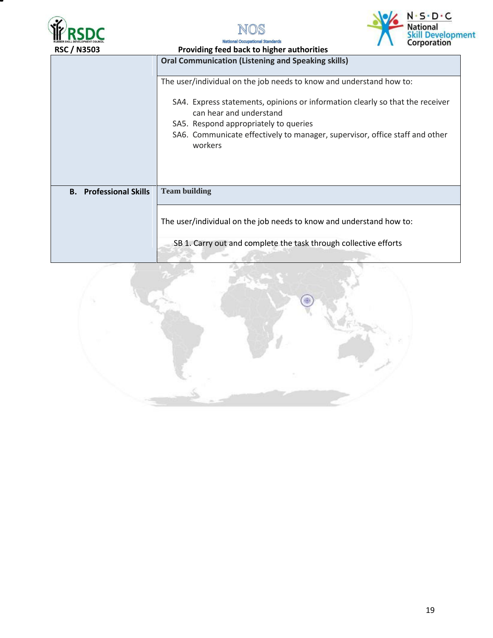





**Natio** 

| <b>RSC / N3503</b>            | Providing feed back to higher authorities                                                                                                                                                                                                   |  |  |
|-------------------------------|---------------------------------------------------------------------------------------------------------------------------------------------------------------------------------------------------------------------------------------------|--|--|
|                               | <b>Oral Communication (Listening and Speaking skills)</b>                                                                                                                                                                                   |  |  |
|                               | The user/individual on the job needs to know and understand how to:                                                                                                                                                                         |  |  |
|                               | SA4. Express statements, opinions or information clearly so that the receiver<br>can hear and understand<br>SA5. Respond appropriately to queries<br>SA6. Communicate effectively to manager, supervisor, office staff and other<br>workers |  |  |
| <b>B.</b> Professional Skills | <b>Team building</b>                                                                                                                                                                                                                        |  |  |
|                               | The user/individual on the job needs to know and understand how to:                                                                                                                                                                         |  |  |
|                               | SB 1. Carry out and complete the task through collective efforts                                                                                                                                                                            |  |  |